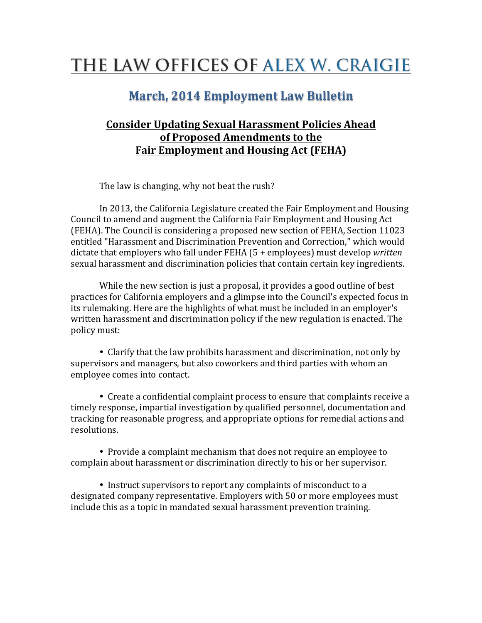## THE LAW OFFICES OF ALEX W. CRAIGIE

## **March, 2014 Employment Law Bulletin**

## **Consider Updating Sexual Harassment Policies Ahead** of Proposed Amendments to the **Fair Employment and Housing Act (FEHA)**

The law is changing, why not beat the rush?

In 2013, the California Legislature created the Fair Employment and Housing Council to amend and augment the California Fair Employment and Housing Act (FEHA). The Council is considering a proposed new section of FEHA, Section 11023 entitled "Harassment and Discrimination Prevention and Correction," which would dictate that employers who fall under FEHA (5 + employees) must develop written sexual harassment and discrimination policies that contain certain key ingredients.

While the new section is just a proposal, it provides a good outline of best practices for California employers and a glimpse into the Council's expected focus in its rulemaking. Here are the highlights of what must be included in an employer's written harassment and discrimination policy if the new regulation is enacted. The policy must:

• Clarify that the law prohibits harassment and discrimination, not only by supervisors and managers, but also coworkers and third parties with whom an employee comes into contact.

• Create a confidential complaint process to ensure that complaints receive a timely response, impartial investigation by qualified personnel, documentation and tracking for reasonable progress, and appropriate options for remedial actions and resolutions.

• Provide a complaint mechanism that does not require an employee to complain about harassment or discrimination directly to his or her supervisor.

• Instruct supervisors to report any complaints of misconduct to a designated company representative. Employers with 50 or more employees must include this as a topic in mandated sexual harassment prevention training.